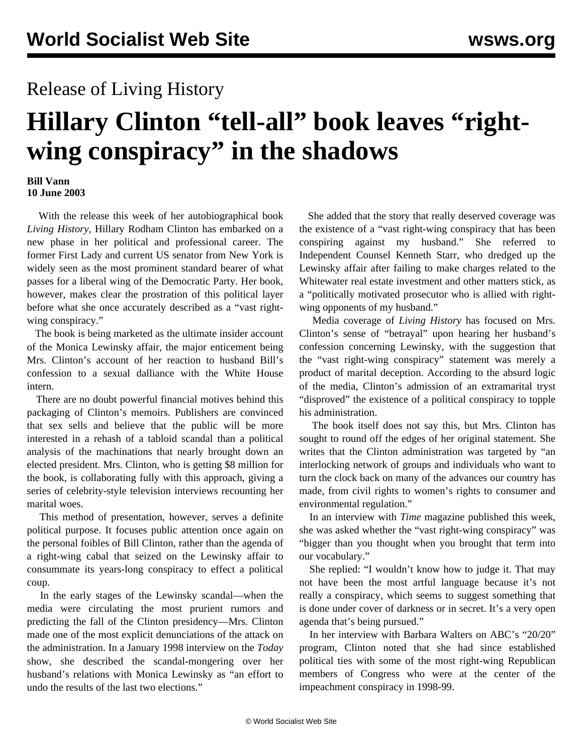## Release of Living History

## **Hillary Clinton "tell-all" book leaves "rightwing conspiracy" in the shadows**

## **Bill Vann 10 June 2003**

 With the release this week of her autobiographical book *Living History*, Hillary Rodham Clinton has embarked on a new phase in her political and professional career. The former First Lady and current US senator from New York is widely seen as the most prominent standard bearer of what passes for a liberal wing of the Democratic Party. Her book, however, makes clear the prostration of this political layer before what she once accurately described as a "vast rightwing conspiracy."

 The book is being marketed as the ultimate insider account of the Monica Lewinsky affair, the major enticement being Mrs. Clinton's account of her reaction to husband Bill's confession to a sexual dalliance with the White House intern.

 There are no doubt powerful financial motives behind this packaging of Clinton's memoirs. Publishers are convinced that sex sells and believe that the public will be more interested in a rehash of a tabloid scandal than a political analysis of the machinations that nearly brought down an elected president. Mrs. Clinton, who is getting \$8 million for the book, is collaborating fully with this approach, giving a series of celebrity-style television interviews recounting her marital woes.

 This method of presentation, however, serves a definite political purpose. It focuses public attention once again on the personal foibles of Bill Clinton, rather than the agenda of a right-wing cabal that seized on the Lewinsky affair to consummate its years-long conspiracy to effect a political coup.

 In the early stages of the Lewinsky scandal—when the media were circulating the most prurient rumors and predicting the fall of the Clinton presidency—Mrs. Clinton made one of the most explicit denunciations of the attack on the administration. In a January 1998 interview on the *Today* show, she described the scandal-mongering over her husband's relations with Monica Lewinsky as "an effort to undo the results of the last two elections."

 She added that the story that really deserved coverage was the existence of a "vast right-wing conspiracy that has been conspiring against my husband." She referred to Independent Counsel Kenneth Starr, who dredged up the Lewinsky affair after failing to make charges related to the Whitewater real estate investment and other matters stick, as a "politically motivated prosecutor who is allied with rightwing opponents of my husband."

 Media coverage of *Living History* has focused on Mrs. Clinton's sense of "betrayal" upon hearing her husband's confession concerning Lewinsky, with the suggestion that the "vast right-wing conspiracy" statement was merely a product of marital deception. According to the absurd logic of the media, Clinton's admission of an extramarital tryst "disproved" the existence of a political conspiracy to topple his administration.

 The book itself does not say this, but Mrs. Clinton has sought to round off the edges of her original statement. She writes that the Clinton administration was targeted by "an interlocking network of groups and individuals who want to turn the clock back on many of the advances our country has made, from civil rights to women's rights to consumer and environmental regulation."

 In an interview with *Time* magazine published this week, she was asked whether the "vast right-wing conspiracy" was "bigger than you thought when you brought that term into our vocabulary."

 She replied: "I wouldn't know how to judge it. That may not have been the most artful language because it's not really a conspiracy, which seems to suggest something that is done under cover of darkness or in secret. It's a very open agenda that's being pursued."

 In her interview with Barbara Walters on ABC's "20/20" program, Clinton noted that she had since established political ties with some of the most right-wing Republican members of Congress who were at the center of the impeachment conspiracy in 1998-99.